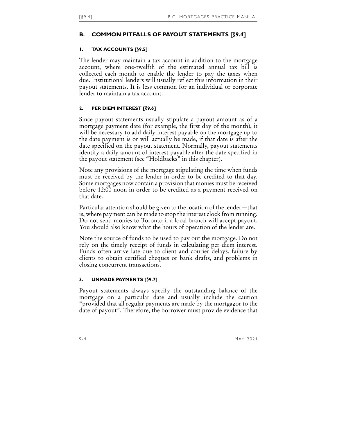### **B. COMMON PITFALLS OF PAYOUT STATEMENTS [§9.4]**

### **1. TAX ACCOUNTS [§9.5]**

The lender may maintain a tax account in addition to the mortgage account, where one-twelfth of the estimated annual tax bill is collected each month to enable the lender to pay the taxes when due. Institutional lenders will usually reflect this information in their payout statements. It is less common for an individual or corporate lender to maintain a tax account.

### **2. PER DIEM INTEREST [§9.6]**

Since payout statements usually stipulate a payout amount as of a mortgage payment date (for example, the first day of the month), it will be necessary to add daily interest payable on the mortgage up to the date payment is or will actually be made, if that date is after the date specified on the payout statement. Normally, payout statements identify a daily amount of interest payable after the date specified in the payout statement (see ["Holdbacks](#page-2-0)" in this chapter).

Note any provisions of the mortgage stipulating the time when funds must be received by the lender in order to be credited to that day. Some mortgages now contain a provision that monies must be received before 12:00 noon in order to be credited as a payment received on that date.

Particular attention should be given to the location of the lender—that is, where payment can be made to stop the interest clock from running. Do not send monies to Toronto if a local branch will accept payout. You should also know what the hours of operation of the lender are.

Note the source of funds to be used to pay out the mortgage. Do not rely on the timely receipt of funds in calculating per diem interest. Funds often arrive late due to client and courier delays, failure by clients to obtain certified cheques or bank drafts, and problems in closing concurrent transactions.

# **3. UNMADE PAYMENTS [§9.7]**

Payout statements always specify the outstanding balance of the mortgage on a particular date and usually include the caution "provided that all regular payments are made by the mortgagor to the date of payout". Therefore, the borrower must provide evidence that

9-4 MAY 2021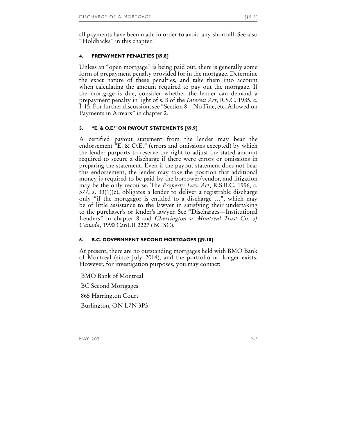all payments have been made in order to avoid any shortfall. See also "[Holdbacks"](#page-2-0) in this chapter.

## **4. PREPAYMENT PENALTIES [§9.8]**

Unless an "open mortgage" is being paid out, there is generally some form of prepayment penalty provided for in the mortgage. Determine the exact nature of these penalties, and take them into account when calculating the amount required to pay out the mortgage. If the mortgage is due, consider whether the lender can demand a prepayment penalty in light of s. 8 of the *Interest Act*, R.S.C. 1985, c. I-15. For further discussion, see "Section 8—No Fine, etc. Allowed on Payments in Arrears" in chapter 2.

## **5. "E. & O.E." ON PAYOUT STATEMENTS [§9.9]**

A certified payout statement from the lender may bear the endorsement "E. & O.E." (errors and omissions excepted) by which the lender purports to reserve the right to adjust the stated amount required to secure a discharge if there were errors or omissions in preparing the statement. Even if the payout statement does not bear this endorsement, the lender may take the position that additional money is required to be paid by the borrower/vendor, and litigation may be the only recourse. The *Property Law Act*, R.S.B.C. 1996, c. 377, s. 33(1)(c), obligates a lender to deliver a registrable discharge only "if the mortgagor is entitled to a discharge …", which may be of little assistance to the lawyer in satisfying their undertaking to the purchaser's or lender's lawyer. See "Discharges—Institutional Lenders" in chapter 8 and *Cherrington v. Montreal Trust Co. of Canada*, [1990 CanLII 2227 \(BC SC\).](http://canlii.ca/t/1dtb5)

# **6. B.C. GOVERNMENT SECOND MORTGAGES [§9.10]**

At present, there are no outstanding mortgages held with BMO Bank of Montreal (since July 2014), and the portfolio no longer exists. However, for investigation purposes, you may contact:

BMO Bank of Montreal BC Second Mortgages 865 Harrington Court Burlington, ON L7N 3P3

MAY 2021 9-5